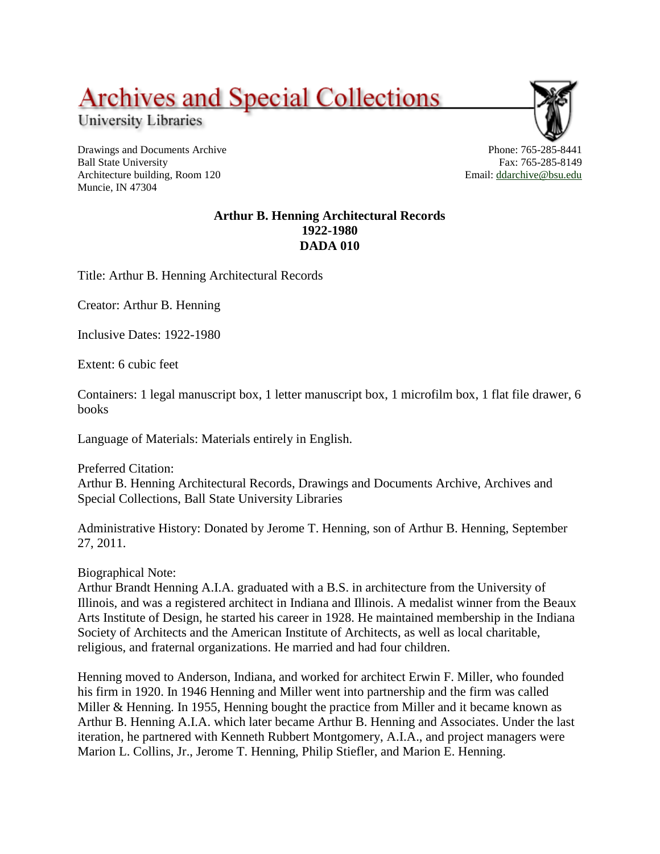## **Archives and Special Collections**

University Libraries

Drawings and Documents Archive Ball State University Architecture building, Room 120 Muncie, IN 47304



## **Arthur B. Henning Architectural Records 1922-1980 DADA 010**

Title: Arthur B. Henning Architectural Records

Creator: Arthur B. Henning

Inclusive Dates: 1922-1980

Extent: 6 cubic feet

Containers: 1 legal manuscript box, 1 letter manuscript box, 1 microfilm box, 1 flat file drawer, 6 books

Language of Materials: Materials entirely in English.

Preferred Citation: Arthur B. Henning Architectural Records, Drawings and Documents Archive, Archives and Special Collections, Ball State University Libraries

Administrative History: Donated by Jerome T. Henning, son of Arthur B. Henning, September 27, 2011.

Biographical Note:

Arthur Brandt Henning A.I.A. graduated with a B.S. in architecture from the University of Illinois, and was a registered architect in Indiana and Illinois. A medalist winner from the Beaux Arts Institute of Design, he started his career in 1928. He maintained membership in the Indiana Society of Architects and the American Institute of Architects, as well as local charitable, religious, and fraternal organizations. He married and had four children.

Henning moved to Anderson, Indiana, and worked for architect Erwin F. Miller, who founded his firm in 1920. In 1946 Henning and Miller went into partnership and the firm was called Miller & Henning. In 1955, Henning bought the practice from Miller and it became known as Arthur B. Henning A.I.A. which later became Arthur B. Henning and Associates. Under the last iteration, he partnered with Kenneth Rubbert Montgomery, A.I.A., and project managers were Marion L. Collins, Jr., Jerome T. Henning, Philip Stiefler, and Marion E. Henning.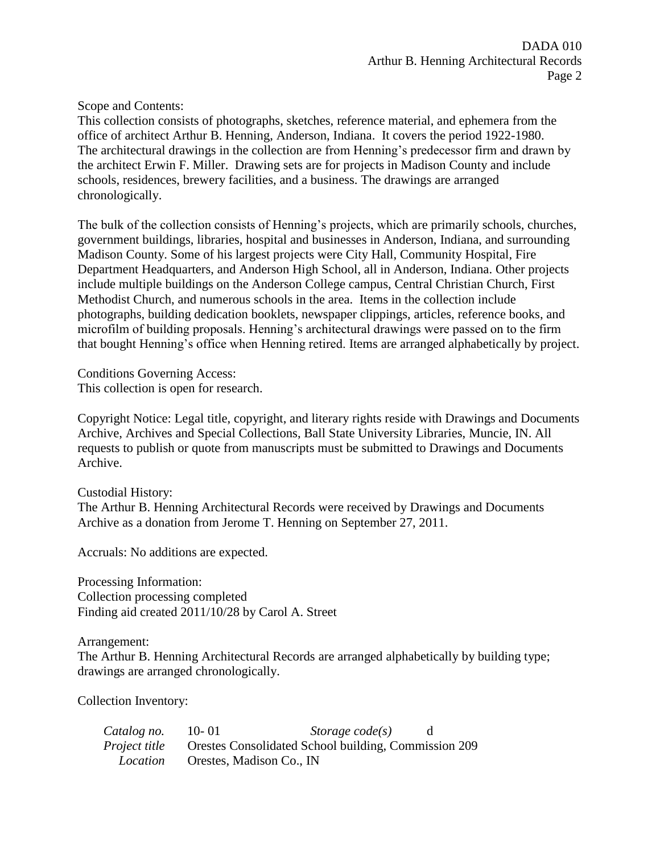Scope and Contents:

This collection consists of photographs, sketches, reference material, and ephemera from the office of architect Arthur B. Henning, Anderson, Indiana. It covers the period 1922-1980. The architectural drawings in the collection are from Henning's predecessor firm and drawn by the architect Erwin F. Miller. Drawing sets are for projects in Madison County and include schools, residences, brewery facilities, and a business. The drawings are arranged chronologically.

The bulk of the collection consists of Henning's projects, which are primarily schools, churches, government buildings, libraries, hospital and businesses in Anderson, Indiana, and surrounding Madison County. Some of his largest projects were City Hall, Community Hospital, Fire Department Headquarters, and Anderson High School, all in Anderson, Indiana. Other projects include multiple buildings on the Anderson College campus, Central Christian Church, First Methodist Church, and numerous schools in the area. Items in the collection include photographs, building dedication booklets, newspaper clippings, articles, reference books, and microfilm of building proposals. Henning's architectural drawings were passed on to the firm that bought Henning's office when Henning retired. Items are arranged alphabetically by project.

Conditions Governing Access: This collection is open for research.

Copyright Notice: Legal title, copyright, and literary rights reside with Drawings and Documents Archive, Archives and Special Collections, Ball State University Libraries, Muncie, IN. All requests to publish or quote from manuscripts must be submitted to Drawings and Documents Archive.

Custodial History: The Arthur B. Henning Architectural Records were received by Drawings and Documents Archive as a donation from Jerome T. Henning on September 27, 2011.

Accruals: No additions are expected.

Processing Information: Collection processing completed Finding aid created 2011/10/28 by Carol A. Street

Arrangement:

The Arthur B. Henning Architectural Records are arranged alphabetically by building type; drawings are arranged chronologically.

Collection Inventory:

| Catalog no.          | $10 - 01$ | Storage $code(s)$                                           |  |
|----------------------|-----------|-------------------------------------------------------------|--|
| <i>Project title</i> |           | <b>Orestes Consolidated School building, Commission 209</b> |  |
| <i>Location</i>      |           | Orestes, Madison Co., IN                                    |  |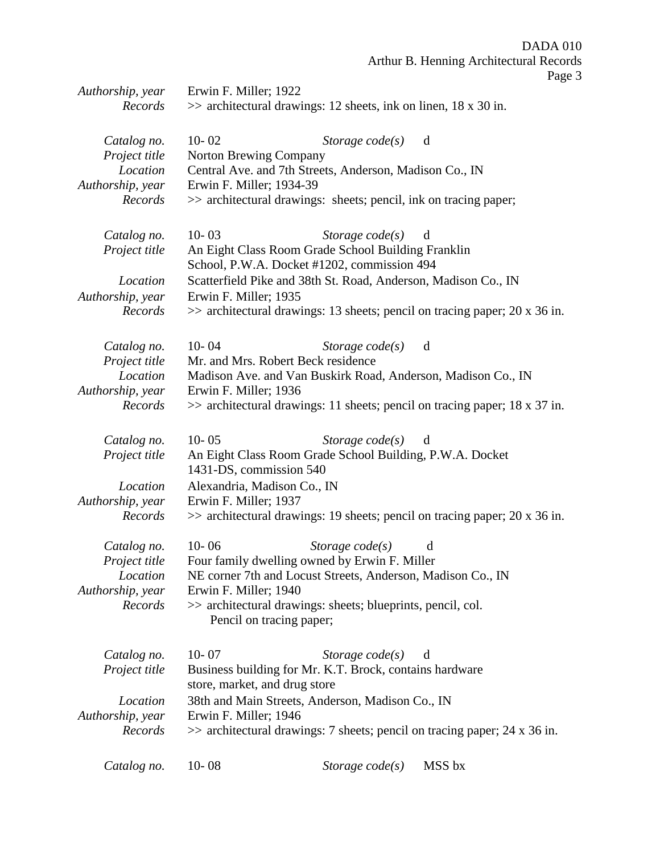DADA 010 Arthur B. Henning Architectural Records Page 3

| Authorship, year | Erwin F. Miller; 1922                                                                    |                                                                               |
|------------------|------------------------------------------------------------------------------------------|-------------------------------------------------------------------------------|
| Records          | $\gg$ architectural drawings: 12 sheets, ink on linen, 18 x 30 in.                       |                                                                               |
|                  |                                                                                          |                                                                               |
| Catalog no.      | $10 - 02$                                                                                | Storage $code(s)$<br>d                                                        |
| Project title    | Norton Brewing Company                                                                   |                                                                               |
| Location         | Central Ave. and 7th Streets, Anderson, Madison Co., IN                                  |                                                                               |
| Authorship, year | Erwin F. Miller; 1934-39                                                                 |                                                                               |
| Records          | >> architectural drawings: sheets; pencil, ink on tracing paper;                         |                                                                               |
|                  |                                                                                          |                                                                               |
| Catalog no.      | $10 - 03$                                                                                | Storage $code(s)$<br>d                                                        |
| Project title    | An Eight Class Room Grade School Building Franklin                                       |                                                                               |
|                  | School, P.W.A. Docket #1202, commission 494                                              |                                                                               |
|                  |                                                                                          |                                                                               |
| Location         | Scatterfield Pike and 38th St. Road, Anderson, Madison Co., IN                           |                                                                               |
| Authorship, year | Erwin F. Miller; 1935                                                                    |                                                                               |
| Records          |                                                                                          | $\gg$ architectural drawings: 13 sheets; pencil on tracing paper; 20 x 36 in. |
| Catalog no.      | $10 - 04$                                                                                | Storage $code(s)$<br>d                                                        |
| Project title    | Mr. and Mrs. Robert Beck residence                                                       |                                                                               |
| Location         |                                                                                          | Madison Ave. and Van Buskirk Road, Anderson, Madison Co., IN                  |
| Authorship, year | Erwin F. Miller; 1936                                                                    |                                                                               |
| Records          |                                                                                          | $\gg$ architectural drawings: 11 sheets; pencil on tracing paper; 18 x 37 in. |
|                  |                                                                                          |                                                                               |
| Catalog no.      | $10 - 05$                                                                                | Storage $code(s)$<br>d                                                        |
| Project title    | An Eight Class Room Grade School Building, P.W.A. Docket                                 |                                                                               |
|                  | 1431-DS, commission 540                                                                  |                                                                               |
| Location         | Alexandria, Madison Co., IN                                                              |                                                                               |
| Authorship, year | Erwin F. Miller; 1937                                                                    |                                                                               |
| Records          |                                                                                          |                                                                               |
|                  |                                                                                          | $\gg$ architectural drawings: 19 sheets; pencil on tracing paper; 20 x 36 in. |
| Catalog no.      | $10 - 06$<br>Storage $code(s)$                                                           | d                                                                             |
| Project title    | Four family dwelling owned by Erwin F. Miller                                            |                                                                               |
| Location         | NE corner 7th and Locust Streets, Anderson, Madison Co., IN                              |                                                                               |
| Authorship, year | Erwin F. Miller; 1940                                                                    |                                                                               |
| Records          | >> architectural drawings: sheets; blueprints, pencil, col.                              |                                                                               |
|                  | Pencil on tracing paper;                                                                 |                                                                               |
|                  |                                                                                          |                                                                               |
| Catalog no.      | $10 - 07$                                                                                | Storage code(s)<br>d                                                          |
| Project title    | Business building for Mr. K.T. Brock, contains hardware<br>store, market, and drug store |                                                                               |
| Location         | 38th and Main Streets, Anderson, Madison Co., IN                                         |                                                                               |
| Authorship, year | Erwin F. Miller; 1946                                                                    |                                                                               |
| Records          |                                                                                          | $\gg$ architectural drawings: 7 sheets; pencil on tracing paper; 24 x 36 in.  |
|                  |                                                                                          |                                                                               |
| Catalog no.      | $10 - 08$                                                                                | Storage $code(s)$<br>MSS bx                                                   |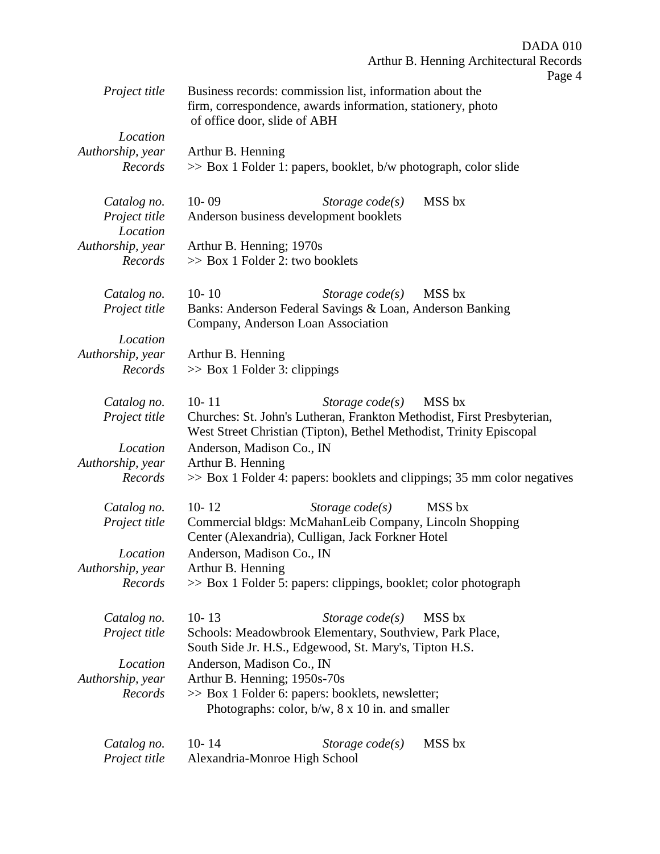|                                          | <b>DADA 010</b>                                                                                                                                                                           |
|------------------------------------------|-------------------------------------------------------------------------------------------------------------------------------------------------------------------------------------------|
|                                          | Arthur B. Henning Architectural Records<br>Page 4                                                                                                                                         |
| Project title                            | Business records: commission list, information about the<br>firm, correspondence, awards information, stationery, photo<br>of office door, slide of ABH                                   |
| Location                                 |                                                                                                                                                                                           |
| Authorship, year<br>Records              | Arthur B. Henning<br>>> Box 1 Folder 1: papers, booklet, b/w photograph, color slide                                                                                                      |
| Catalog no.<br>Project title<br>Location | $10 - 09$<br>MSS bx<br>Storage $code(s)$<br>Anderson business development booklets                                                                                                        |
| Authorship, year<br>Records              | Arthur B. Henning; 1970s<br>>> Box 1 Folder 2: two booklets                                                                                                                               |
| Catalog no.<br>Project title             | $10 - 10$<br>Storage $code(s)$<br>MSS bx<br>Banks: Anderson Federal Savings & Loan, Anderson Banking<br>Company, Anderson Loan Association                                                |
| Location                                 |                                                                                                                                                                                           |
| Authorship, year<br>Records              | Arthur B. Henning<br>$\gg$ Box 1 Folder 3: clippings                                                                                                                                      |
| Catalog no.<br>Project title             | $10 - 11$<br>MSS bx<br>Storage $code(s)$<br>Churches: St. John's Lutheran, Frankton Methodist, First Presbyterian,<br>West Street Christian (Tipton), Bethel Methodist, Trinity Episcopal |
| Location                                 | Anderson, Madison Co., IN                                                                                                                                                                 |
| Authorship, year                         | Arthur B. Henning                                                                                                                                                                         |
| Records                                  | $\gg$ Box 1 Folder 4: papers: booklets and clippings; 35 mm color negatives                                                                                                               |
| Catalog no.                              | $10 - 12$<br>MSS bx<br>Storage $code(s)$                                                                                                                                                  |
| Project title                            | Commercial bldgs: McMahanLeib Company, Lincoln Shopping<br>Center (Alexandria), Culligan, Jack Forkner Hotel                                                                              |
| Location                                 | Anderson, Madison Co., IN                                                                                                                                                                 |
| Authorship, year                         | Arthur B. Henning                                                                                                                                                                         |
| Records                                  | >> Box 1 Folder 5: papers: clippings, booklet; color photograph                                                                                                                           |
| Catalog no.<br>Project title             | $10 - 13$<br>MSS bx<br>Storage $code(s)$<br>Schools: Meadowbrook Elementary, Southview, Park Place,<br>South Side Jr. H.S., Edgewood, St. Mary's, Tipton H.S.                             |
| Location                                 | Anderson, Madison Co., IN                                                                                                                                                                 |
| Authorship, year                         | Arthur B. Henning; 1950s-70s                                                                                                                                                              |
| Records                                  | >> Box 1 Folder 6: papers: booklets, newsletter;<br>Photographs: color, $b/w$ , $8 \times 10$ in. and smaller                                                                             |
| Catalog no.<br>Project title             | $10 - 14$<br>MSS bx<br>Storage code(s)<br>Alexandria-Monroe High School                                                                                                                   |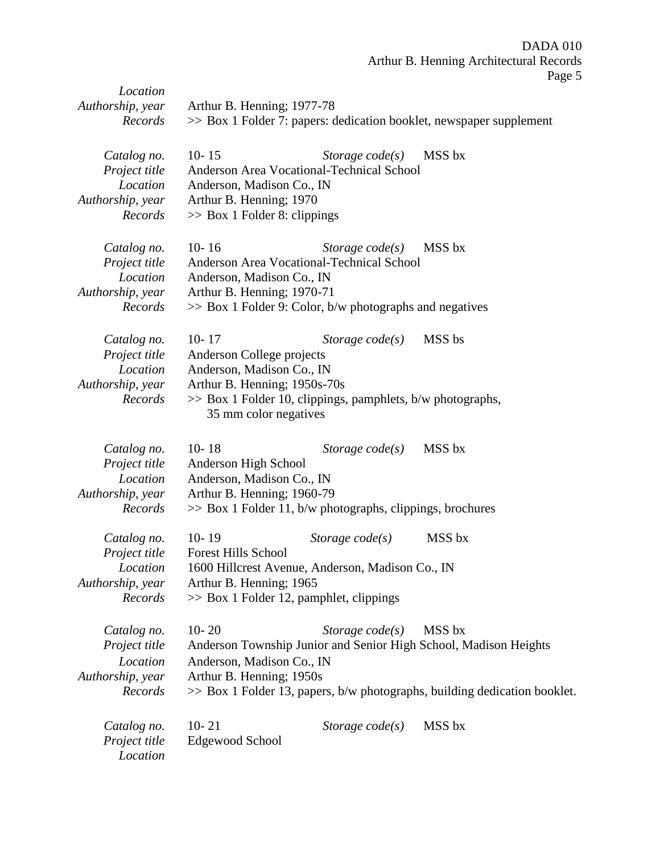DADA 010 Arthur B. Henning Architectural Records Page 5

|                              |                                            |                                                               | $\log 2$                                                                     |
|------------------------------|--------------------------------------------|---------------------------------------------------------------|------------------------------------------------------------------------------|
| Location<br>Authorship, year | Arthur B. Henning; 1977-78                 |                                                               |                                                                              |
| Records                      |                                            |                                                               | >> Box 1 Folder 7: papers: dedication booklet, newspaper supplement          |
|                              |                                            |                                                               |                                                                              |
| Catalog no.                  | $10 - 15$                                  | Storage $code(s)$                                             | MSS bx                                                                       |
| Project title                |                                            | Anderson Area Vocational-Technical School                     |                                                                              |
| Location                     | Anderson, Madison Co., IN                  |                                                               |                                                                              |
| Authorship, year             | Arthur B. Henning; 1970                    |                                                               |                                                                              |
| Records                      | $\gg$ Box 1 Folder 8: clippings            |                                                               |                                                                              |
| Catalog no.                  | $10 - 16$                                  | Storage $code(s)$                                             | MSS bx                                                                       |
| Project title                |                                            | Anderson Area Vocational-Technical School                     |                                                                              |
| Location                     | Anderson, Madison Co., IN                  |                                                               |                                                                              |
| Authorship, year             | Arthur B. Henning; 1970-71                 |                                                               |                                                                              |
| Records                      |                                            | $\gg$ Box 1 Folder 9: Color, b/w photographs and negatives    |                                                                              |
| Catalog no.                  | $10 - 17$                                  | Storage $code(s)$                                             | MSS bs                                                                       |
| Project title                | Anderson College projects                  |                                                               |                                                                              |
| Location                     | Anderson, Madison Co., IN                  |                                                               |                                                                              |
| Authorship, year             | Arthur B. Henning; 1950s-70s               |                                                               |                                                                              |
| Records                      | 35 mm color negatives                      | $\gg$ Box 1 Folder 10, clippings, pamphlets, b/w photographs, |                                                                              |
| Catalog no.                  | $10 - 18$                                  | Storage $code(s)$                                             | MSS bx                                                                       |
| Project title                | Anderson High School                       |                                                               |                                                                              |
| Location                     | Anderson, Madison Co., IN                  |                                                               |                                                                              |
| Authorship, year             | Arthur B. Henning; 1960-79                 |                                                               |                                                                              |
| Records                      |                                            | $\gg$ Box 1 Folder 11, b/w photographs, clippings, brochures  |                                                                              |
| Catalog no.                  | $10 - 19$                                  | Storage $code(s)$                                             | MSS bx                                                                       |
| Project title                | <b>Forest Hills School</b>                 |                                                               |                                                                              |
| Location                     |                                            | 1600 Hillcrest Avenue, Anderson, Madison Co., IN              |                                                                              |
| Authorship, year             | Arthur B. Henning; 1965                    |                                                               |                                                                              |
| Records                      | $\gg$ Box 1 Folder 12, pamphlet, clippings |                                                               |                                                                              |
| Catalog no.                  | $10 - 20$                                  | Storage $code(s)$                                             | MSS bx                                                                       |
| Project title                |                                            |                                                               | Anderson Township Junior and Senior High School, Madison Heights             |
| Location                     | Anderson, Madison Co., IN                  |                                                               |                                                                              |
| Authorship, year             | Arthur B. Henning; 1950s                   |                                                               |                                                                              |
| Records                      |                                            |                                                               | $\gg$ Box 1 Folder 13, papers, b/w photographs, building dedication booklet. |
| Catalog no.                  | $10 - 21$                                  | Storage $code(s)$                                             | MSS bx                                                                       |
| Project title                | Edgewood School                            |                                                               |                                                                              |
| Location                     |                                            |                                                               |                                                                              |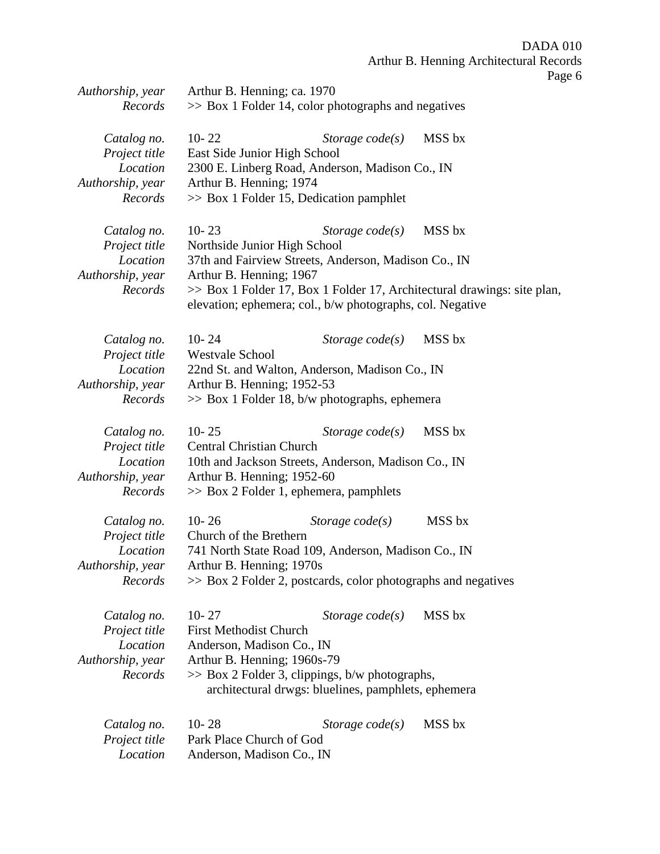DADA 010 Arthur B. Henning Architectural Records

Page 6

| Authorship, year<br>Records | Arthur B. Henning; ca. 1970<br>$\gg$ Box 1 Folder 14, color photographs and negatives |                                                               |                                                                         |
|-----------------------------|---------------------------------------------------------------------------------------|---------------------------------------------------------------|-------------------------------------------------------------------------|
|                             |                                                                                       |                                                               |                                                                         |
| Catalog no.                 | $10 - 22$                                                                             | Storage $code(s)$                                             | MSS bx                                                                  |
| Project title               | East Side Junior High School                                                          |                                                               |                                                                         |
| Location                    |                                                                                       | 2300 E. Linberg Road, Anderson, Madison Co., IN               |                                                                         |
| Authorship, year            | Arthur B. Henning; 1974                                                               |                                                               |                                                                         |
| Records                     |                                                                                       | $\gg$ Box 1 Folder 15, Dedication pamphlet                    |                                                                         |
| Catalog no.                 | $10 - 23$                                                                             | Storage $code(s)$                                             | MSS bx                                                                  |
| Project title               | Northside Junior High School                                                          |                                                               |                                                                         |
| Location                    |                                                                                       | 37th and Fairview Streets, Anderson, Madison Co., IN          |                                                                         |
| Authorship, year            | Arthur B. Henning; 1967                                                               |                                                               |                                                                         |
| Records                     |                                                                                       |                                                               | >> Box 1 Folder 17, Box 1 Folder 17, Architectural drawings: site plan, |
|                             |                                                                                       | elevation; ephemera; col., b/w photographs, col. Negative     |                                                                         |
| Catalog no.                 | $10 - 24$                                                                             | Storage $code(s)$                                             | MSS bx                                                                  |
| Project title               | Westvale School                                                                       |                                                               |                                                                         |
| Location                    |                                                                                       | 22nd St. and Walton, Anderson, Madison Co., IN                |                                                                         |
| Authorship, year            | Arthur B. Henning; 1952-53                                                            |                                                               |                                                                         |
| Records                     |                                                                                       | $\gg$ Box 1 Folder 18, b/w photographs, ephemera              |                                                                         |
| Catalog no.                 | $10 - 25$                                                                             | Storage $code(s)$                                             | MSS bx                                                                  |
| Project title               | <b>Central Christian Church</b>                                                       |                                                               |                                                                         |
| Location                    |                                                                                       | 10th and Jackson Streets, Anderson, Madison Co., IN           |                                                                         |
| Authorship, year            | Arthur B. Henning; 1952-60                                                            |                                                               |                                                                         |
| Records                     |                                                                                       | $\gg$ Box 2 Folder 1, ephemera, pamphlets                     |                                                                         |
| Catalog no.                 | $10 - 26$                                                                             | Storage $code(s)$                                             | MSS bx                                                                  |
| Project title               | Church of the Brethern                                                                |                                                               |                                                                         |
| Location                    |                                                                                       | 741 North State Road 109, Anderson, Madison Co., IN           |                                                                         |
| Authorship, year            | Arthur B. Henning; 1970s                                                              |                                                               |                                                                         |
| Records                     |                                                                                       | >> Box 2 Folder 2, postcards, color photographs and negatives |                                                                         |
| Catalog no.                 | $10 - 27$                                                                             | Storage $code(s)$                                             | MSS bx                                                                  |
| Project title               | <b>First Methodist Church</b>                                                         |                                                               |                                                                         |
| Location                    | Anderson, Madison Co., IN                                                             |                                                               |                                                                         |
| Authorship, year            | Arthur B. Henning; 1960s-79                                                           |                                                               |                                                                         |
| Records                     |                                                                                       | $\gg$ Box 2 Folder 3, clippings, b/w photographs,             |                                                                         |
|                             |                                                                                       | architectural drwgs: bluelines, pamphlets, ephemera           |                                                                         |
| Catalog no.                 | $10 - 28$                                                                             | Storage $code(s)$                                             | MSS bx                                                                  |
| Project title               | Park Place Church of God                                                              |                                                               |                                                                         |
| Location                    | Anderson, Madison Co., IN                                                             |                                                               |                                                                         |
|                             |                                                                                       |                                                               |                                                                         |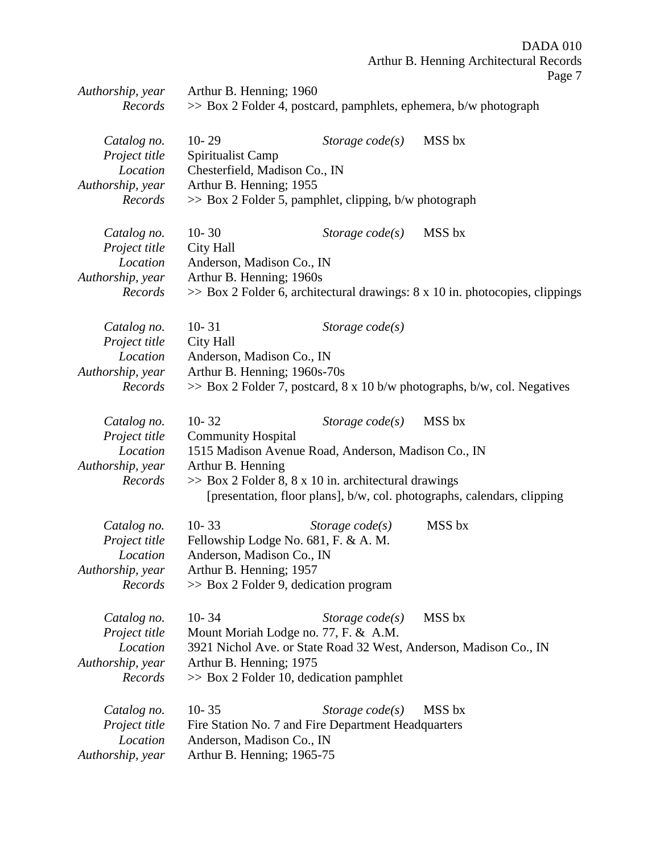DADA 010 Arthur B. Henning Architectural Records

Page 7

| >> Box 2 Folder 4, postcard, pamphlets, ephemera, b/w photograph<br>Records<br>MSS bx<br>$10 - 29$<br>Catalog no.<br>Storage $code(s)$<br>Project title<br>Spiritualist Camp<br>Chesterfield, Madison Co., IN<br>Location<br>Arthur B. Henning; 1955<br>Authorship, year<br>Records<br>>> Box 2 Folder 5, pamphlet, clipping, b/w photograph<br>$10 - 30$<br>MSS bx<br>Catalog no.<br>Storage $code(s)$<br>Project title<br>City Hall<br>Location<br>Anderson, Madison Co., IN<br>Arthur B. Henning; 1960s<br>Authorship, year<br>Records<br>$\gg$ Box 2 Folder 6, architectural drawings: 8 x 10 in. photocopies, clippings<br>$10 - 31$<br>Catalog no.<br>Storage $code(s)$<br>City Hall<br>Project title<br>Anderson, Madison Co., IN<br>Location<br>Authorship, year<br>Arthur B. Henning; 1960s-70s<br>Records<br>$\gg$ Box 2 Folder 7, postcard, 8 x 10 b/w photographs, b/w, col. Negatives<br>$10 - 32$<br>MSS bx<br>Catalog no.<br>Storage $code(s)$<br>Project title<br><b>Community Hospital</b><br>Location<br>1515 Madison Avenue Road, Anderson, Madison Co., IN<br>Authorship, year<br>Arthur B. Henning<br>>> Box 2 Folder 8, 8 x 10 in. architectural drawings<br>Records<br>[presentation, floor plans], b/w, col. photographs, calendars, clipping<br>MSS bx<br>$10 - 33$<br>Catalog no.<br>Storage $code(s)$<br>Project title<br>Fellowship Lodge No. 681, F. & A. M.<br>Location<br>Anderson, Madison Co., IN<br>Authorship, year<br>Arthur B. Henning; 1957<br>>> Box 2 Folder 9, dedication program<br>Records<br>$10 - 34$<br>MSS bx<br>Storage $code(s)$<br>Catalog no.<br>Project title<br>Mount Moriah Lodge no. 77, F. & A.M.<br>Location<br>3921 Nichol Ave. or State Road 32 West, Anderson, Madison Co., IN<br>Arthur B. Henning; 1975<br>Authorship, year<br>Records<br>$\gg$ Box 2 Folder 10, dedication pamphlet<br>$10 - 35$<br>MSS bx<br>Catalog no.<br>Storage $code(s)$ | Authorship, year | Arthur B. Henning; 1960 |  |  |  |
|---------------------------------------------------------------------------------------------------------------------------------------------------------------------------------------------------------------------------------------------------------------------------------------------------------------------------------------------------------------------------------------------------------------------------------------------------------------------------------------------------------------------------------------------------------------------------------------------------------------------------------------------------------------------------------------------------------------------------------------------------------------------------------------------------------------------------------------------------------------------------------------------------------------------------------------------------------------------------------------------------------------------------------------------------------------------------------------------------------------------------------------------------------------------------------------------------------------------------------------------------------------------------------------------------------------------------------------------------------------------------------------------------------------------------------------------------------------------------------------------------------------------------------------------------------------------------------------------------------------------------------------------------------------------------------------------------------------------------------------------------------------------------------------------------------------------------------------------------------------------------------------------------------------|------------------|-------------------------|--|--|--|
|                                                                                                                                                                                                                                                                                                                                                                                                                                                                                                                                                                                                                                                                                                                                                                                                                                                                                                                                                                                                                                                                                                                                                                                                                                                                                                                                                                                                                                                                                                                                                                                                                                                                                                                                                                                                                                                                                                               |                  |                         |  |  |  |
|                                                                                                                                                                                                                                                                                                                                                                                                                                                                                                                                                                                                                                                                                                                                                                                                                                                                                                                                                                                                                                                                                                                                                                                                                                                                                                                                                                                                                                                                                                                                                                                                                                                                                                                                                                                                                                                                                                               |                  |                         |  |  |  |
|                                                                                                                                                                                                                                                                                                                                                                                                                                                                                                                                                                                                                                                                                                                                                                                                                                                                                                                                                                                                                                                                                                                                                                                                                                                                                                                                                                                                                                                                                                                                                                                                                                                                                                                                                                                                                                                                                                               |                  |                         |  |  |  |
|                                                                                                                                                                                                                                                                                                                                                                                                                                                                                                                                                                                                                                                                                                                                                                                                                                                                                                                                                                                                                                                                                                                                                                                                                                                                                                                                                                                                                                                                                                                                                                                                                                                                                                                                                                                                                                                                                                               |                  |                         |  |  |  |
|                                                                                                                                                                                                                                                                                                                                                                                                                                                                                                                                                                                                                                                                                                                                                                                                                                                                                                                                                                                                                                                                                                                                                                                                                                                                                                                                                                                                                                                                                                                                                                                                                                                                                                                                                                                                                                                                                                               |                  |                         |  |  |  |
|                                                                                                                                                                                                                                                                                                                                                                                                                                                                                                                                                                                                                                                                                                                                                                                                                                                                                                                                                                                                                                                                                                                                                                                                                                                                                                                                                                                                                                                                                                                                                                                                                                                                                                                                                                                                                                                                                                               |                  |                         |  |  |  |
|                                                                                                                                                                                                                                                                                                                                                                                                                                                                                                                                                                                                                                                                                                                                                                                                                                                                                                                                                                                                                                                                                                                                                                                                                                                                                                                                                                                                                                                                                                                                                                                                                                                                                                                                                                                                                                                                                                               |                  |                         |  |  |  |
|                                                                                                                                                                                                                                                                                                                                                                                                                                                                                                                                                                                                                                                                                                                                                                                                                                                                                                                                                                                                                                                                                                                                                                                                                                                                                                                                                                                                                                                                                                                                                                                                                                                                                                                                                                                                                                                                                                               |                  |                         |  |  |  |
|                                                                                                                                                                                                                                                                                                                                                                                                                                                                                                                                                                                                                                                                                                                                                                                                                                                                                                                                                                                                                                                                                                                                                                                                                                                                                                                                                                                                                                                                                                                                                                                                                                                                                                                                                                                                                                                                                                               |                  |                         |  |  |  |
|                                                                                                                                                                                                                                                                                                                                                                                                                                                                                                                                                                                                                                                                                                                                                                                                                                                                                                                                                                                                                                                                                                                                                                                                                                                                                                                                                                                                                                                                                                                                                                                                                                                                                                                                                                                                                                                                                                               |                  |                         |  |  |  |
|                                                                                                                                                                                                                                                                                                                                                                                                                                                                                                                                                                                                                                                                                                                                                                                                                                                                                                                                                                                                                                                                                                                                                                                                                                                                                                                                                                                                                                                                                                                                                                                                                                                                                                                                                                                                                                                                                                               |                  |                         |  |  |  |
|                                                                                                                                                                                                                                                                                                                                                                                                                                                                                                                                                                                                                                                                                                                                                                                                                                                                                                                                                                                                                                                                                                                                                                                                                                                                                                                                                                                                                                                                                                                                                                                                                                                                                                                                                                                                                                                                                                               |                  |                         |  |  |  |
|                                                                                                                                                                                                                                                                                                                                                                                                                                                                                                                                                                                                                                                                                                                                                                                                                                                                                                                                                                                                                                                                                                                                                                                                                                                                                                                                                                                                                                                                                                                                                                                                                                                                                                                                                                                                                                                                                                               |                  |                         |  |  |  |
|                                                                                                                                                                                                                                                                                                                                                                                                                                                                                                                                                                                                                                                                                                                                                                                                                                                                                                                                                                                                                                                                                                                                                                                                                                                                                                                                                                                                                                                                                                                                                                                                                                                                                                                                                                                                                                                                                                               |                  |                         |  |  |  |
|                                                                                                                                                                                                                                                                                                                                                                                                                                                                                                                                                                                                                                                                                                                                                                                                                                                                                                                                                                                                                                                                                                                                                                                                                                                                                                                                                                                                                                                                                                                                                                                                                                                                                                                                                                                                                                                                                                               |                  |                         |  |  |  |
|                                                                                                                                                                                                                                                                                                                                                                                                                                                                                                                                                                                                                                                                                                                                                                                                                                                                                                                                                                                                                                                                                                                                                                                                                                                                                                                                                                                                                                                                                                                                                                                                                                                                                                                                                                                                                                                                                                               |                  |                         |  |  |  |
|                                                                                                                                                                                                                                                                                                                                                                                                                                                                                                                                                                                                                                                                                                                                                                                                                                                                                                                                                                                                                                                                                                                                                                                                                                                                                                                                                                                                                                                                                                                                                                                                                                                                                                                                                                                                                                                                                                               |                  |                         |  |  |  |
|                                                                                                                                                                                                                                                                                                                                                                                                                                                                                                                                                                                                                                                                                                                                                                                                                                                                                                                                                                                                                                                                                                                                                                                                                                                                                                                                                                                                                                                                                                                                                                                                                                                                                                                                                                                                                                                                                                               |                  |                         |  |  |  |
|                                                                                                                                                                                                                                                                                                                                                                                                                                                                                                                                                                                                                                                                                                                                                                                                                                                                                                                                                                                                                                                                                                                                                                                                                                                                                                                                                                                                                                                                                                                                                                                                                                                                                                                                                                                                                                                                                                               |                  |                         |  |  |  |
|                                                                                                                                                                                                                                                                                                                                                                                                                                                                                                                                                                                                                                                                                                                                                                                                                                                                                                                                                                                                                                                                                                                                                                                                                                                                                                                                                                                                                                                                                                                                                                                                                                                                                                                                                                                                                                                                                                               |                  |                         |  |  |  |
|                                                                                                                                                                                                                                                                                                                                                                                                                                                                                                                                                                                                                                                                                                                                                                                                                                                                                                                                                                                                                                                                                                                                                                                                                                                                                                                                                                                                                                                                                                                                                                                                                                                                                                                                                                                                                                                                                                               |                  |                         |  |  |  |
|                                                                                                                                                                                                                                                                                                                                                                                                                                                                                                                                                                                                                                                                                                                                                                                                                                                                                                                                                                                                                                                                                                                                                                                                                                                                                                                                                                                                                                                                                                                                                                                                                                                                                                                                                                                                                                                                                                               |                  |                         |  |  |  |
|                                                                                                                                                                                                                                                                                                                                                                                                                                                                                                                                                                                                                                                                                                                                                                                                                                                                                                                                                                                                                                                                                                                                                                                                                                                                                                                                                                                                                                                                                                                                                                                                                                                                                                                                                                                                                                                                                                               |                  |                         |  |  |  |
|                                                                                                                                                                                                                                                                                                                                                                                                                                                                                                                                                                                                                                                                                                                                                                                                                                                                                                                                                                                                                                                                                                                                                                                                                                                                                                                                                                                                                                                                                                                                                                                                                                                                                                                                                                                                                                                                                                               |                  |                         |  |  |  |
|                                                                                                                                                                                                                                                                                                                                                                                                                                                                                                                                                                                                                                                                                                                                                                                                                                                                                                                                                                                                                                                                                                                                                                                                                                                                                                                                                                                                                                                                                                                                                                                                                                                                                                                                                                                                                                                                                                               |                  |                         |  |  |  |
|                                                                                                                                                                                                                                                                                                                                                                                                                                                                                                                                                                                                                                                                                                                                                                                                                                                                                                                                                                                                                                                                                                                                                                                                                                                                                                                                                                                                                                                                                                                                                                                                                                                                                                                                                                                                                                                                                                               |                  |                         |  |  |  |
|                                                                                                                                                                                                                                                                                                                                                                                                                                                                                                                                                                                                                                                                                                                                                                                                                                                                                                                                                                                                                                                                                                                                                                                                                                                                                                                                                                                                                                                                                                                                                                                                                                                                                                                                                                                                                                                                                                               |                  |                         |  |  |  |
|                                                                                                                                                                                                                                                                                                                                                                                                                                                                                                                                                                                                                                                                                                                                                                                                                                                                                                                                                                                                                                                                                                                                                                                                                                                                                                                                                                                                                                                                                                                                                                                                                                                                                                                                                                                                                                                                                                               |                  |                         |  |  |  |
|                                                                                                                                                                                                                                                                                                                                                                                                                                                                                                                                                                                                                                                                                                                                                                                                                                                                                                                                                                                                                                                                                                                                                                                                                                                                                                                                                                                                                                                                                                                                                                                                                                                                                                                                                                                                                                                                                                               |                  |                         |  |  |  |
|                                                                                                                                                                                                                                                                                                                                                                                                                                                                                                                                                                                                                                                                                                                                                                                                                                                                                                                                                                                                                                                                                                                                                                                                                                                                                                                                                                                                                                                                                                                                                                                                                                                                                                                                                                                                                                                                                                               |                  |                         |  |  |  |
|                                                                                                                                                                                                                                                                                                                                                                                                                                                                                                                                                                                                                                                                                                                                                                                                                                                                                                                                                                                                                                                                                                                                                                                                                                                                                                                                                                                                                                                                                                                                                                                                                                                                                                                                                                                                                                                                                                               |                  |                         |  |  |  |
|                                                                                                                                                                                                                                                                                                                                                                                                                                                                                                                                                                                                                                                                                                                                                                                                                                                                                                                                                                                                                                                                                                                                                                                                                                                                                                                                                                                                                                                                                                                                                                                                                                                                                                                                                                                                                                                                                                               |                  |                         |  |  |  |
|                                                                                                                                                                                                                                                                                                                                                                                                                                                                                                                                                                                                                                                                                                                                                                                                                                                                                                                                                                                                                                                                                                                                                                                                                                                                                                                                                                                                                                                                                                                                                                                                                                                                                                                                                                                                                                                                                                               |                  |                         |  |  |  |
|                                                                                                                                                                                                                                                                                                                                                                                                                                                                                                                                                                                                                                                                                                                                                                                                                                                                                                                                                                                                                                                                                                                                                                                                                                                                                                                                                                                                                                                                                                                                                                                                                                                                                                                                                                                                                                                                                                               |                  |                         |  |  |  |
|                                                                                                                                                                                                                                                                                                                                                                                                                                                                                                                                                                                                                                                                                                                                                                                                                                                                                                                                                                                                                                                                                                                                                                                                                                                                                                                                                                                                                                                                                                                                                                                                                                                                                                                                                                                                                                                                                                               |                  |                         |  |  |  |
|                                                                                                                                                                                                                                                                                                                                                                                                                                                                                                                                                                                                                                                                                                                                                                                                                                                                                                                                                                                                                                                                                                                                                                                                                                                                                                                                                                                                                                                                                                                                                                                                                                                                                                                                                                                                                                                                                                               |                  |                         |  |  |  |
|                                                                                                                                                                                                                                                                                                                                                                                                                                                                                                                                                                                                                                                                                                                                                                                                                                                                                                                                                                                                                                                                                                                                                                                                                                                                                                                                                                                                                                                                                                                                                                                                                                                                                                                                                                                                                                                                                                               |                  |                         |  |  |  |
|                                                                                                                                                                                                                                                                                                                                                                                                                                                                                                                                                                                                                                                                                                                                                                                                                                                                                                                                                                                                                                                                                                                                                                                                                                                                                                                                                                                                                                                                                                                                                                                                                                                                                                                                                                                                                                                                                                               |                  |                         |  |  |  |
| Fire Station No. 7 and Fire Department Headquarters<br>Project title                                                                                                                                                                                                                                                                                                                                                                                                                                                                                                                                                                                                                                                                                                                                                                                                                                                                                                                                                                                                                                                                                                                                                                                                                                                                                                                                                                                                                                                                                                                                                                                                                                                                                                                                                                                                                                          |                  |                         |  |  |  |
| Location<br>Anderson, Madison Co., IN                                                                                                                                                                                                                                                                                                                                                                                                                                                                                                                                                                                                                                                                                                                                                                                                                                                                                                                                                                                                                                                                                                                                                                                                                                                                                                                                                                                                                                                                                                                                                                                                                                                                                                                                                                                                                                                                         |                  |                         |  |  |  |
| Authorship, year<br>Arthur B. Henning; 1965-75                                                                                                                                                                                                                                                                                                                                                                                                                                                                                                                                                                                                                                                                                                                                                                                                                                                                                                                                                                                                                                                                                                                                                                                                                                                                                                                                                                                                                                                                                                                                                                                                                                                                                                                                                                                                                                                                |                  |                         |  |  |  |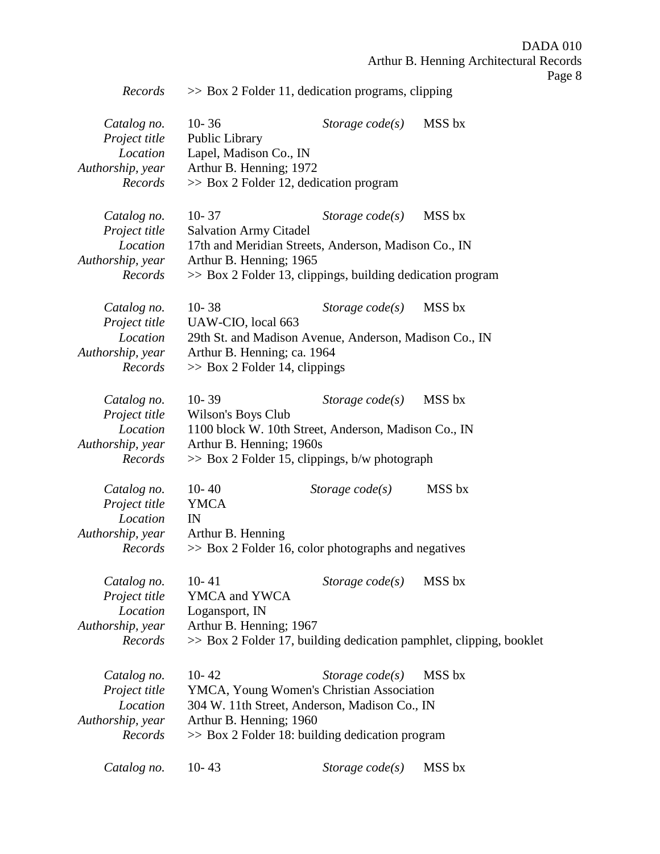DADA 010 Arthur B. Henning Architectural Records

Page 8

| Records                                                                 | $\gg$ Box 2 Folder 11, dedication programs, clipping                                                                                                                                           |                          |                                                                     |
|-------------------------------------------------------------------------|------------------------------------------------------------------------------------------------------------------------------------------------------------------------------------------------|--------------------------|---------------------------------------------------------------------|
| Catalog no.<br>Project title<br>Location<br>Authorship, year<br>Records | $10 - 36$<br>Public Library<br>Lapel, Madison Co., IN<br>Arthur B. Henning; 1972<br>$\gg$ Box 2 Folder 12, dedication program                                                                  | Storage $code(s)$        | MSS bx                                                              |
| Catalog no.<br>Project title<br>Location<br>Authorship, year<br>Records | $10 - 37$<br><b>Salvation Army Citadel</b><br>17th and Meridian Streets, Anderson, Madison Co., IN<br>Arthur B. Henning; 1965<br>$\gg$ Box 2 Folder 13, clippings, building dedication program | Storage $code(s)$        | MSS bx                                                              |
| Catalog no.<br>Project title<br>Location<br>Authorship, year<br>Records | $10 - 38$<br>UAW-CIO, local 663<br>29th St. and Madison Avenue, Anderson, Madison Co., IN<br>Arthur B. Henning; ca. 1964<br>$\gg$ Box 2 Folder 14, clippings                                   | Storage $code(s)$        | MSS bx                                                              |
| Catalog no.<br>Project title<br>Location<br>Authorship, year<br>Records | $10 - 39$<br>Wilson's Boys Club<br>1100 block W. 10th Street, Anderson, Madison Co., IN<br>Arthur B. Henning; 1960s<br>$\gg$ Box 2 Folder 15, clippings, b/w photograph                        | Storage $code(s)$        | MSS bx                                                              |
| Catalog no.<br>Project title<br>Location<br>Authorship, year<br>Records | $10 - 40$<br><b>YMCA</b><br>IN<br>Arthur B. Henning<br>$\gg$ Box 2 Folder 16, color photographs and negatives                                                                                  | Storage $code(s)$        | MSS bx                                                              |
| Catalog no.<br>Project title<br>Location<br>Authorship, year<br>Records | $10 - 41$<br>YMCA and YWCA<br>Logansport, IN<br>Arthur B. Henning; 1967                                                                                                                        | Storage $code(s)$ MSS bx | >> Box 2 Folder 17, building dedication pamphlet, clipping, booklet |
| Catalog no.<br>Project title<br>Location<br>Authorship, year<br>Records | $10 - 42$<br>YMCA, Young Women's Christian Association<br>304 W. 11th Street, Anderson, Madison Co., IN<br>Arthur B. Henning; 1960<br>>> Box 2 Folder 18: building dedication program          | Storage $code(s)$        | MSS bx                                                              |
| Catalog no.                                                             | $10 - 43$                                                                                                                                                                                      | Storage $code(s)$        | MSS bx                                                              |